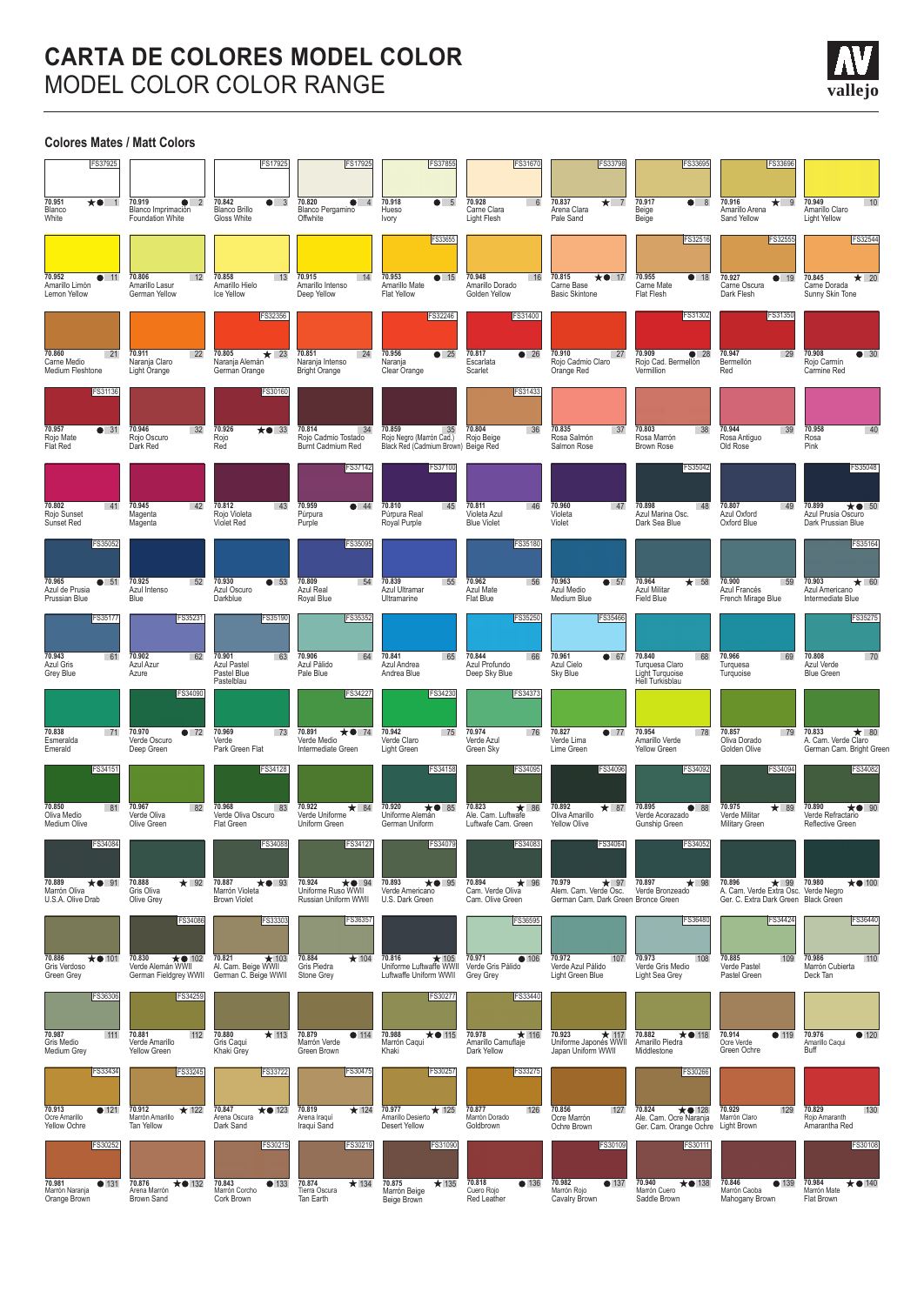## **CARTA DE COLORES MODEL COLOR** MODEL COLOR COLOR RANGE





**vallejo**